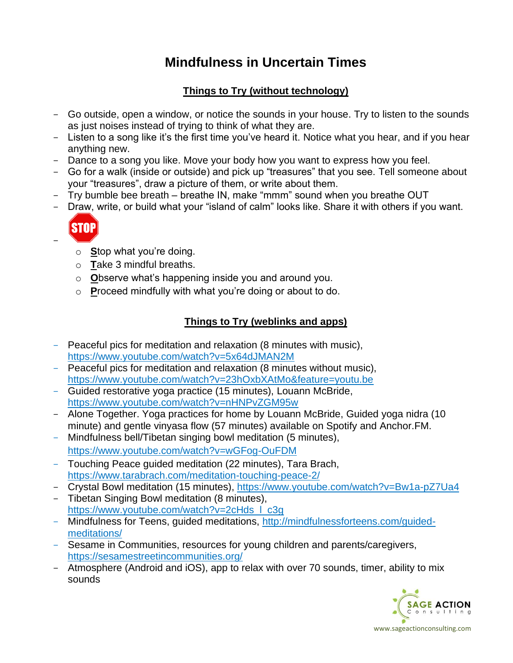# **Mindfulness in Uncertain Times**

## **Things to Try (without technology)**

- Go outside, open a window, or notice the sounds in your house. Try to listen to the sounds as just noises instead of trying to think of what they are.
- Listen to a song like it's the first time you've heard it. Notice what you hear, and if you hear anything new.
- Dance to a song you like. Move your body how you want to express how you feel.
- Go for a walk (inside or outside) and pick up "treasures" that you see. Tell someone about your "treasures", draw a picture of them, or write about them.
- Try bumble bee breath breathe IN, make "mmm" sound when you breathe OUT
- Draw, write, or build what your "island of calm" looks like. Share it with others if you want.



-

- o **S**top what you're doing.
- o **T**ake 3 mindful breaths.
- o **O**bserve what's happening inside you and around you.
- o **P**roceed mindfully with what you're doing or about to do.

#### **Things to Try (weblinks and apps)**

- Peaceful pics for meditation and relaxation (8 minutes with music), <https://www.youtube.com/watch?v=5x64dJMAN2M>
- Peaceful pics for meditation and relaxation (8 minutes without music), <https://www.youtube.com/watch?v=23hOxbXAtMo&feature=youtu.be>
- Guided restorative yoga practice (15 minutes), Louann McBride, <https://www.youtube.com/watch?v=nHNPvZGM95w>
- Alone Together. Yoga practices for home by Louann McBride, Guided yoga nidra (10 minute) and gentle vinyasa flow (57 minutes) available on Spotify and Anchor.FM.
- Mindfulness bell/Tibetan singing bowl meditation (5 minutes), <https://www.youtube.com/watch?v=wGFog-OuFDM>
- Touching Peace guided meditation (22 minutes), Tara Brach, <https://www.tarabrach.com/meditation-touching-peace-2/>
- Crystal Bowl meditation (15 minutes), <https://www.youtube.com/watch?v=Bw1a-pZ7Ua4>
- Tibetan Singing Bowl meditation (8 minutes), https://www.youtube.com/watch?v=2cHds | c3g
- Mindfulness for Teens, guided meditations, [http://mindfulnessforteens.com/guided](http://mindfulnessforteens.com/guided-meditations/)[meditations/](http://mindfulnessforteens.com/guided-meditations/)
- Sesame in Communities, resources for young children and parents/caregivers, <https://sesamestreetincommunities.org/>
- Atmosphere (Android and iOS), app to relax with over 70 sounds, timer, ability to mix sounds